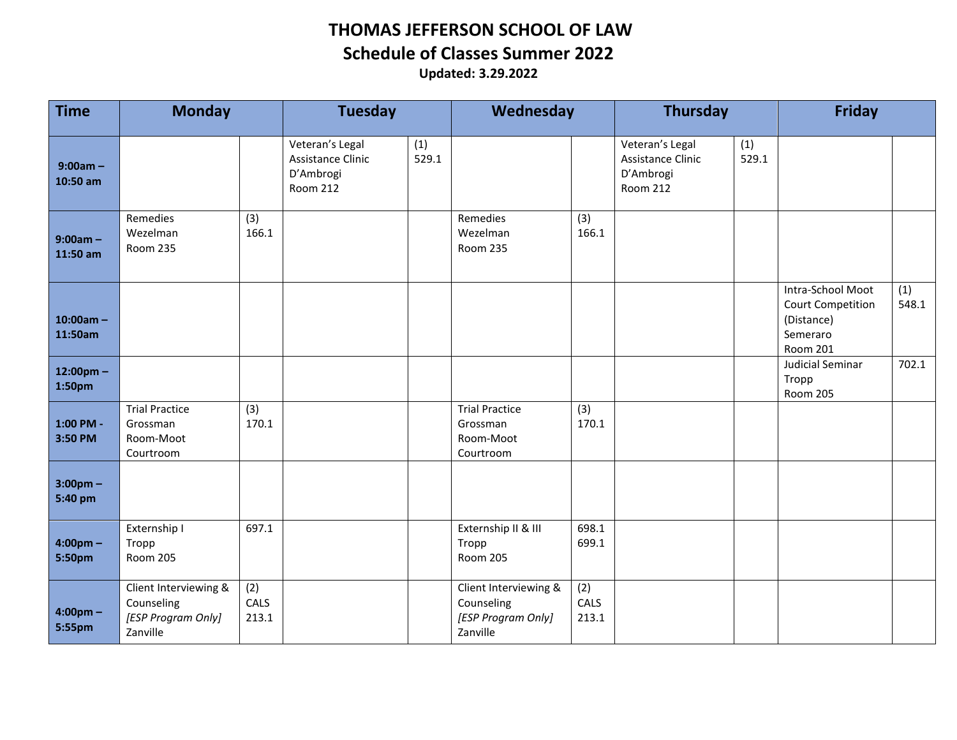## **THOMAS JEFFERSON SCHOOL OF LAW Schedule of Classes Summer 2022 Updated: 3.29.2022**

| <b>Time</b>                   | <b>Monday</b>                                                         |                      | <b>Tuesday</b>                                                       |              | Wednesday                                                             |                      | <b>Thursday</b>                                                      |              | <b>Friday</b>                                                                       |              |
|-------------------------------|-----------------------------------------------------------------------|----------------------|----------------------------------------------------------------------|--------------|-----------------------------------------------------------------------|----------------------|----------------------------------------------------------------------|--------------|-------------------------------------------------------------------------------------|--------------|
| $9:00am -$<br>10:50 am        |                                                                       |                      | Veteran's Legal<br>Assistance Clinic<br>D'Ambrogi<br><b>Room 212</b> | (1)<br>529.1 |                                                                       |                      | Veteran's Legal<br>Assistance Clinic<br>D'Ambrogi<br><b>Room 212</b> | (1)<br>529.1 |                                                                                     |              |
| $9:00am -$<br>11:50 am        | Remedies<br>Wezelman<br><b>Room 235</b>                               | (3)<br>166.1         |                                                                      |              | Remedies<br>Wezelman<br><b>Room 235</b>                               | (3)<br>166.1         |                                                                      |              |                                                                                     |              |
| $10:00am -$<br>11:50am        |                                                                       |                      |                                                                      |              |                                                                       |                      |                                                                      |              | Intra-School Moot<br>Court Competition<br>(Distance)<br>Semeraro<br><b>Room 201</b> | (1)<br>548.1 |
| $12:00 \text{pm} -$<br>1:50pm |                                                                       |                      |                                                                      |              |                                                                       |                      |                                                                      |              | Judicial Seminar<br>Tropp<br><b>Room 205</b>                                        | 702.1        |
| 1:00 PM -<br>3:50 PM          | <b>Trial Practice</b><br>Grossman<br>Room-Moot<br>Courtroom           | (3)<br>170.1         |                                                                      |              | <b>Trial Practice</b><br>Grossman<br>Room-Moot<br>Courtroom           | (3)<br>170.1         |                                                                      |              |                                                                                     |              |
| $3:00$ pm $-$<br>5:40 pm      |                                                                       |                      |                                                                      |              |                                                                       |                      |                                                                      |              |                                                                                     |              |
| $4:00 \text{pm} -$<br>5:50pm  | Externship I<br>Tropp<br><b>Room 205</b>                              | 697.1                |                                                                      |              | Externship II & III<br>Tropp<br><b>Room 205</b>                       | 698.1<br>699.1       |                                                                      |              |                                                                                     |              |
| $4:00 \text{pm} -$<br>5:55pm  | Client Interviewing &<br>Counseling<br>[ESP Program Only]<br>Zanville | (2)<br>CALS<br>213.1 |                                                                      |              | Client Interviewing &<br>Counseling<br>[ESP Program Only]<br>Zanville | (2)<br>CALS<br>213.1 |                                                                      |              |                                                                                     |              |